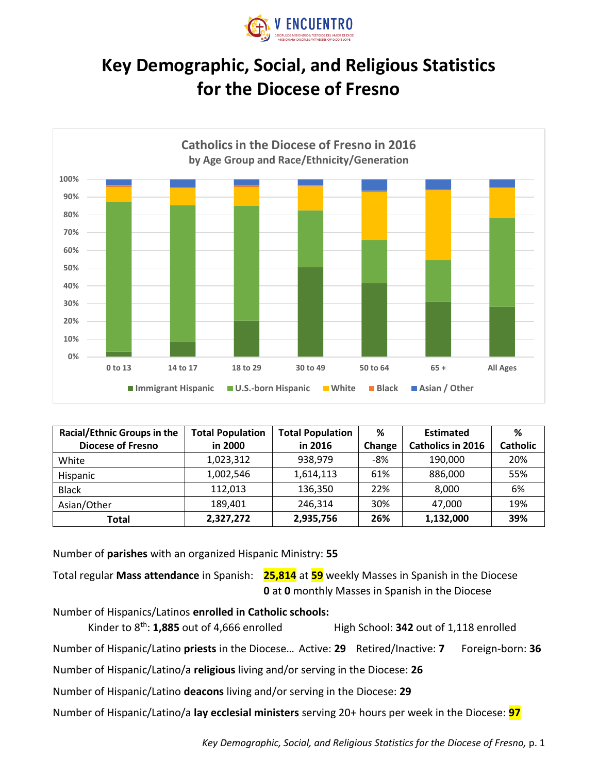

## **Key Demographic, Social, and Religious Statistics for the Diocese of Fresno**



| <b>Racial/Ethnic Groups in the</b> | <b>Total Population</b> | <b>Total Population</b> | %      | <b>Estimated</b>         | ℅        |
|------------------------------------|-------------------------|-------------------------|--------|--------------------------|----------|
| <b>Diocese of Fresno</b>           | in 2000                 | in 2016                 | Change | <b>Catholics in 2016</b> | Catholic |
| White                              | 1,023,312               | 938,979                 | $-8%$  | 190,000                  | 20%      |
| Hispanic                           | 1,002,546               | 1,614,113               | 61%    | 886,000                  | 55%      |
| <b>Black</b>                       | 112,013                 | 136,350                 | 22%    | 8,000                    | 6%       |
| Asian/Other                        | 189.401                 | 246,314                 | 30%    | 47.000                   | 19%      |
| Total                              | 2,327,272               | 2,935,756               | 26%    | 1,132,000                | 39%      |

Number of **parishes** with an organized Hispanic Ministry: **55**

Total regular **Mass attendance** in Spanish: **25,814** at **59** weekly Masses in Spanish in the Diocese **0** at **0** monthly Masses in Spanish in the Diocese

Number of Hispanics/Latinos **enrolled in Catholic schools:**

Kinder to 8<sup>th</sup>: **1,885** out of 4,666 enrolled High School: **342** out of 1,118 enrolled

Number of Hispanic/Latino **priests** in the Diocese… Active: **29** Retired/Inactive: **7** Foreign-born: **36**

Number of Hispanic/Latino/a **religious** living and/or serving in the Diocese: **26**

Number of Hispanic/Latino **deacons** living and/or serving in the Diocese: **29**

Number of Hispanic/Latino/a **lay ecclesial ministers** serving 20+ hours per week in the Diocese: **97**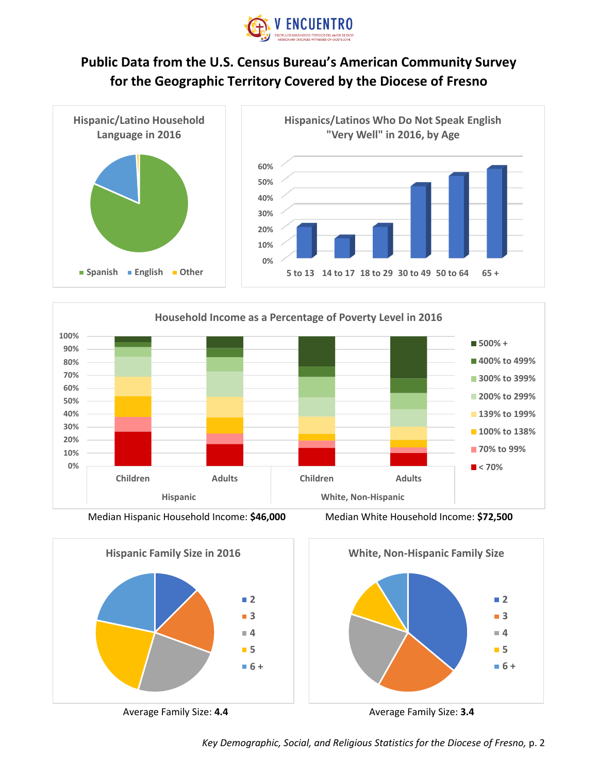

## **Public Data from the U.S. Census Bureau's American Community Survey for the Geographic Territory Covered by the Diocese of Fresno**





Median Hispanic Household Income: **\$46,000** Median White Household Income: **\$72,500**









Average Family Size: **4.4** Average Family Size: **3.4**

*Key Demographic, Social, and Religious Statistics for the Diocese of Fresno,* p. 2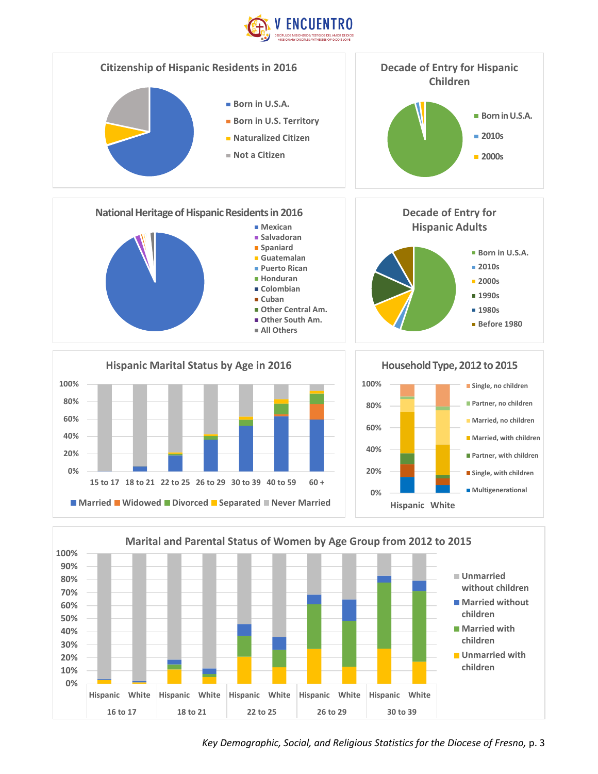



*Key Demographic, Social, and Religious Statistics for the Diocese of Fresno,* p. 3